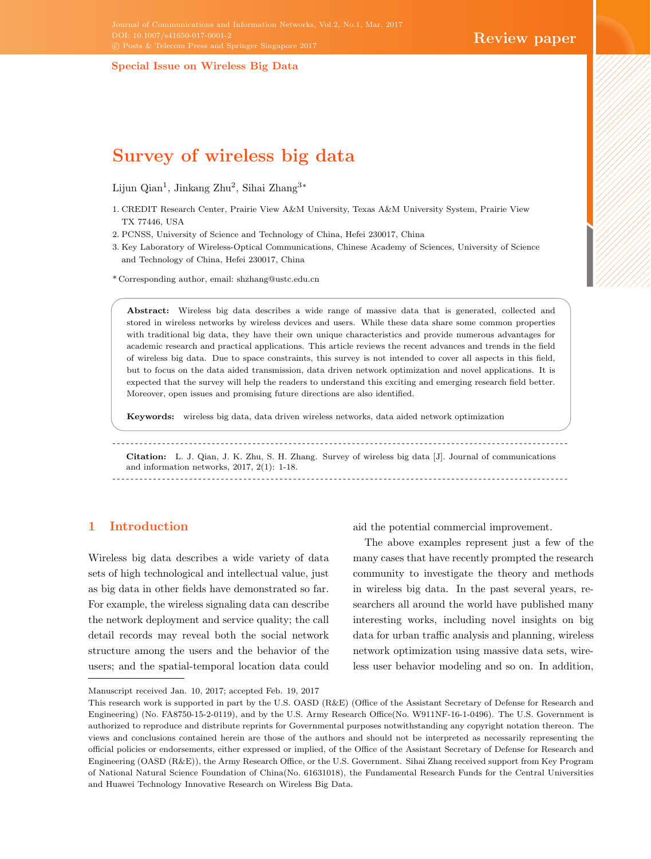# Survey of wireless big data

Lijun Qian<sup>1</sup>, Jinkang Zhu<sup>2</sup>, Sihai Zhang<sup>3\*</sup>

- 1. CREDIT Research Center, Prairie View A&M University, Texas A&M University System, Prairie View TX 77446, USA
- 2. PCNSS, University of Science and Technology of China, Hefei 230017, China
- 3. Key Laboratory of Wireless-Optical Communications, Chinese Academy of Sciences, University of Science and Technology of China, Hefei 230017, China

\* Corresponding author, email: shzhang@ustc.edu.cn

Abstract: Wireless big data describes a wide range of massive data that is generated, collected and stored in wireless networks by wireless devices and users. While these data share some common properties with traditional big data, they have their own unique characteristics and provide numerous advantages for academic research and practical applications. This article reviews the recent advances and trends in the field of wireless big data. Due to space constraints, this survey is not intended to cover all aspects in this field, but to focus on the data aided transmission, data driven network optimization and novel applications. It is expected that the survey will help the readers to understand this exciting and emerging research field better. Moreover, open issues and promising future directions are also identified.

Keywords: wireless big data, data driven wireless networks, data aided network optimization

- - - - - - - - - - - - - - - - - - - - - - - - - - - - - - - - - - - - - - - - - - - - - - - - - - - - - - - - - - - - - - - - - - - - - - - - - - - - - - - - - - - - - - - - - - - - - - - - - - - - - Citation: L. J. Qian, J. K. Zhu, S. H. Zhang. Survey of wireless big data [J]. Journal of communications and information networks, 2017, 2(1): 1[-18.](#page-17-0) - - - - - - - - - - - - - - - - - - - - - - - - - - - - - - - - - - - - - - - - - - - - - - - - - - - - - - - - - - - - - - - - - - - - - - - - - - - - - - - - - - - - - - - - - - - - - - - - - - - - -

# 1 Introduction

Wireless big data describes a wide variety of data sets of high technological and intellectual value, just as big data in other fields have demonstrated so far. For example, the wireless signaling data can describe the network deployment and service quality; the call detail records may reveal both the social network structure among the users and the behavior of the users; and the spatial-temporal location data could

aid the potential commercial improvement.

The above examples represent just a few of the many cases that have recently prompted the research community to investigate the theory and methods in wireless big data. In the past several years, researchers all around the world have published many interesting works, including novel insights on big data for urban traffic analysis and planning, wireless network optimization using massive data sets, wireless user behavior modeling and so on. In addition,

Manuscript received Jan. 10, 2017; accepted Feb. 19, 2017

This research work is supported in part by the U.S. OASD (R&E) (Office of the Assistant Secretary of Defense for Research and Engineering) (No. FA8750-15-2-0119), and by the U.S. Army Research Office(No. W911NF-16-1-0496). The U.S. Government is authorized to reproduce and distribute reprints for Governmental purposes notwithstanding any copyright notation thereon. The views and conclusions contained herein are those of the authors and should not be interpreted as necessarily representing the official policies or endorsements, either expressed or implied, of the Office of the Assistant Secretary of Defense for Research and Engineering (OASD (R&E)), the Army Research Office, or the U.S. Government. Sihai Zhang received support from Key Program of National Natural Science Foundation of China(No. 61631018), the Fundamental Research Funds for the Central Universities and Huawei Technology Innovative Research on Wireless Big Data.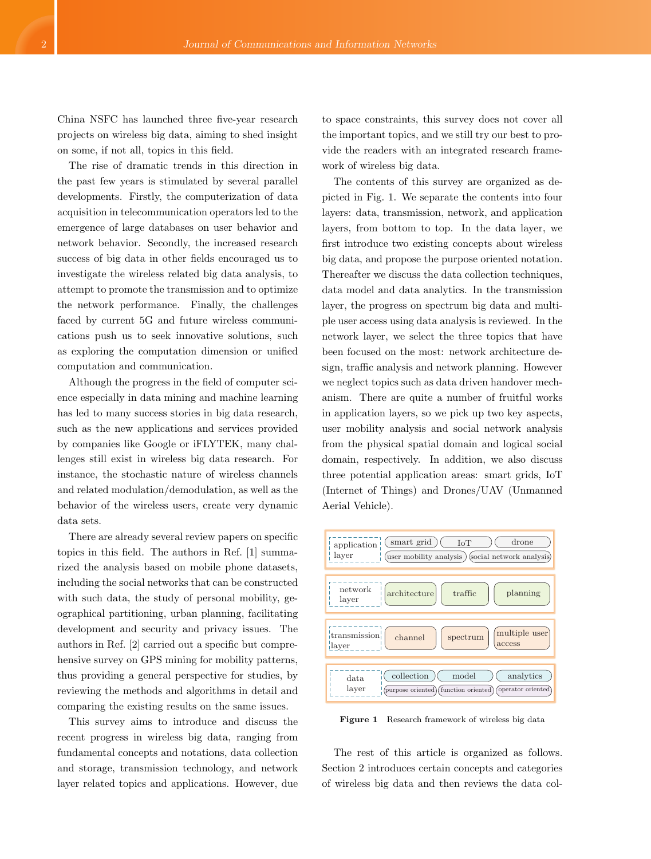China NSFC has launched three five-year research projects on wireless big data, aiming to shed insight on some, if not all, topics in this field.

The rise of dramatic trends in this direction in the past few years is stimulated by several parallel developments. Firstly, the computerization of data acquisition in telecommunication operators led to the emergence of large databases on user behavior and network behavior. Secondly, the increased research success of big data in other fields encouraged us to investigate the wireless related big data analysis, to attempt to promote the transmission and to optimize the network performance. Finally, the challenges faced by current 5G and future wireless communications push us to seek innovative solutions, such as exploring the computation dimension or unified computation and communication.

Although the progress in the field of computer science especially in data mining and machine learning has led to many success stories in big data research, such as the new applications and services provided by companies like Google or iFLYTEK, many challenges still exist in wireless big data research. For instance, the stochastic nature of wireless channels and related modulation/demodulation, as well as the behavior of the wireless users, create very dynamic data sets.

There are already several review papers on specific topics in this field. The authors in Ref. [\[1\]](#page-15-0) summarized the analysis based on mobile phone datasets, including the social networks that can be constructed with such data, the study of personal mobility, geographical partitioning, urban planning, facilitating development and security and privacy issues. The authors in Ref. [\[2\]](#page-15-1) carried out a specific but comprehensive survey on GPS mining for mobility patterns, thus providing a general perspective for studies, by reviewing the methods and algorithms in detail and comparing the existing results on the same issues.

This survey aims to introduce and discuss the recent progress in wireless big data, ranging from fundamental concepts and notations, data collection and storage, transmission technology, and network layer related topics and applications. However, due to space constraints, this survey does not cover all the important topics, and we still try our best to provide the readers with an integrated research framework of wireless big data.

The contents of this survey are organized as depicted in Fig. [1.](#page-1-0) We separate the contents into four layers: data, transmission, network, and application layers, from bottom to top. In the data layer, we first introduce two existing concepts about wireless big data, and propose the purpose oriented notation. Thereafter we discuss the data collection techniques, data model and data analytics. In the transmission layer, the progress on spectrum big data and multiple user access using data analysis is reviewed. In the network layer, we select the three topics that have been focused on the most: network architecture design, traffic analysis and network planning. However we neglect topics such as data driven handover mechanism. There are quite a number of fruitful works in application layers, so we pick up two key aspects, user mobility analysis and social network analysis from the physical spatial domain and logical social domain, respectively. In addition, we also discuss three potential application areas: smart grids, IoT (Internet of Things) and Drones/UAV (Unmanned Aerial Vehicle).

<span id="page-1-0"></span>

Figure 1 Research framework of wireless big data

The rest of this article is organized as follows. Section [2](#page-2-0) introduces certain concepts and categories of wireless big data and then reviews the data col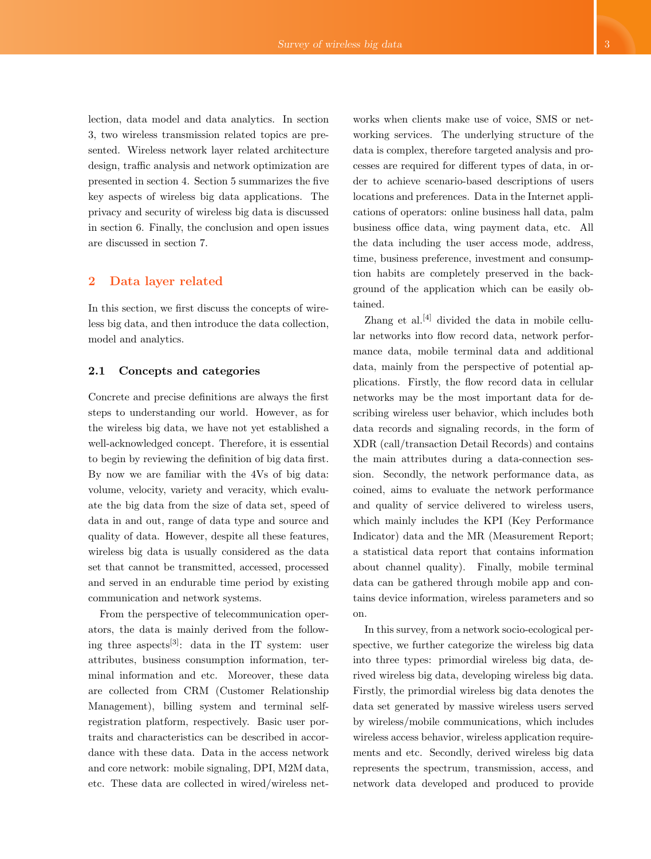lection, data model and data analytics. In section [3,](#page-5-0) two wireless transmission related topics are presented. Wireless network layer related architecture design, traffic analysis and network optimization are presented in section [4.](#page-7-0) Section [5](#page-8-0) summarizes the five key aspects of wireless big data applications. The privacy and security of wireless big data is discussed in section [6.](#page-14-0) Finally, the conclusion and open issues are discussed in section [7.](#page-14-1)

# <span id="page-2-0"></span>2 Data layer related

In this section, we first discuss the concepts of wireless big data, and then introduce the data collection, model and analytics.

# 2.1 Concepts and categories

Concrete and precise definitions are always the first steps to understanding our world. However, as for the wireless big data, we have not yet established a well-acknowledged concept. Therefore, it is essential to begin by reviewing the definition of big data first. By now we are familiar with the 4Vs of big data: volume, velocity, variety and veracity, which evaluate the big data from the size of data set, speed of data in and out, range of data type and source and quality of data. However, despite all these features, wireless big data is usually considered as the data set that cannot be transmitted, accessed, processed and served in an endurable time period by existing communication and network systems.

From the perspective of telecommunication operators, the data is mainly derived from the follow-ing three aspects<sup>[\[3\]](#page-15-2)</sup>: data in the IT system: user attributes, business consumption information, terminal information and etc. Moreover, these data are collected from CRM (Customer Relationship Management), billing system and terminal selfregistration platform, respectively. Basic user portraits and characteristics can be described in accordance with these data. Data in the access network and core network: mobile signaling, DPI, M2M data, etc. These data are collected in wired/wireless net-

works when clients make use of voice, SMS or networking services. The underlying structure of the data is complex, therefore targeted analysis and processes are required for different types of data, in order to achieve scenario-based descriptions of users locations and preferences. Data in the Internet applications of operators: online business hall data, palm business office data, wing payment data, etc. All the data including the user access mode, address, time, business preference, investment and consumption habits are completely preserved in the background of the application which can be easily obtained.

Zhang et al. $[4]$  divided the data in mobile cellular networks into flow record data, network performance data, mobile terminal data and additional data, mainly from the perspective of potential applications. Firstly, the flow record data in cellular networks may be the most important data for describing wireless user behavior, which includes both data records and signaling records, in the form of XDR (call/transaction Detail Records) and contains the main attributes during a data-connection session. Secondly, the network performance data, as coined, aims to evaluate the network performance and quality of service delivered to wireless users, which mainly includes the KPI (Key Performance Indicator) data and the MR (Measurement Report; a statistical data report that contains information about channel quality). Finally, mobile terminal data can be gathered through mobile app and contains device information, wireless parameters and so on.

In this survey, from a network socio-ecological perspective, we further categorize the wireless big data into three types: primordial wireless big data, derived wireless big data, developing wireless big data. Firstly, the primordial wireless big data denotes the data set generated by massive wireless users served by wireless/mobile communications, which includes wireless access behavior, wireless application requirements and etc. Secondly, derived wireless big data represents the spectrum, transmission, access, and network data developed and produced to provide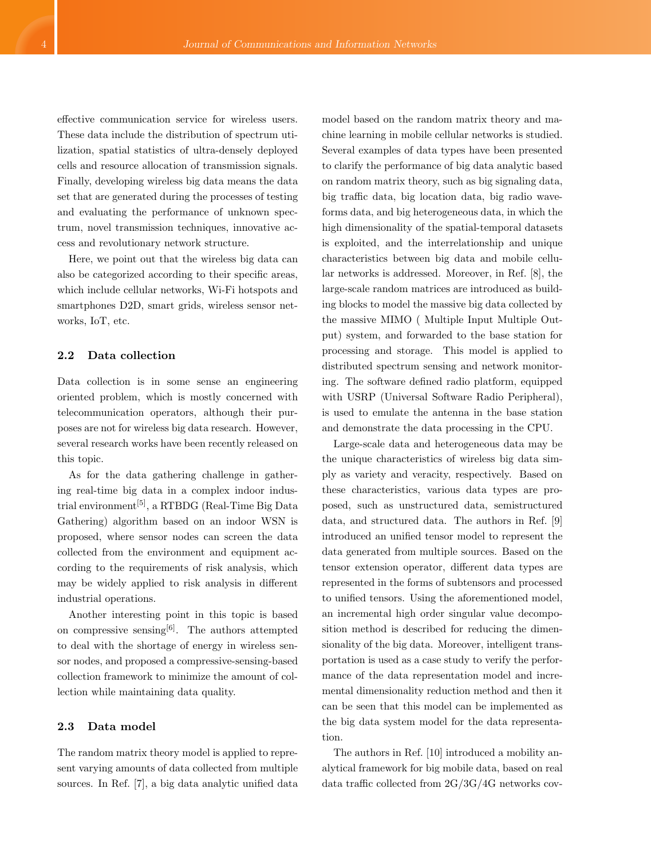effective communication service for wireless users. These data include the distribution of spectrum utilization, spatial statistics of ultra-densely deployed cells and resource allocation of transmission signals. Finally, developing wireless big data means the data set that are generated during the processes of testing and evaluating the performance of unknown spectrum, novel transmission techniques, innovative access and revolutionary network structure.

Here, we point out that the wireless big data can also be categorized according to their specific areas, which include cellular networks, Wi-Fi hotspots and smartphones D2D, smart grids, wireless sensor networks, IoT, etc.

#### 2.2 Data collection

Data collection is in some sense an engineering oriented problem, which is mostly concerned with telecommunication operators, although their purposes are not for wireless big data research. However, several research works have been recently released on this topic.

As for the data gathering challenge in gathering real-time big data in a complex indoor indus-trial environment<sup>[\[5\]](#page-15-4)</sup>, a RTBDG (Real-Time Big Data Gathering) algorithm based on an indoor WSN is proposed, where sensor nodes can screen the data collected from the environment and equipment according to the requirements of risk analysis, which may be widely applied to risk analysis in different industrial operations.

Another interesting point in this topic is based on compressive sensing<sup>[\[6\]](#page-15-5)</sup>. The authors attempted to deal with the shortage of energy in wireless sensor nodes, and proposed a compressive-sensing-based collection framework to minimize the amount of collection while maintaining data quality.

#### 2.3 Data model

The random matrix theory model is applied to represent varying amounts of data collected from multiple sources. In Ref. [\[7\]](#page-15-6), a big data analytic unified data model based on the random matrix theory and machine learning in mobile cellular networks is studied. Several examples of data types have been presented to clarify the performance of big data analytic based on random matrix theory, such as big signaling data, big traffic data, big location data, big radio waveforms data, and big heterogeneous data, in which the high dimensionality of the spatial-temporal datasets is exploited, and the interrelationship and unique characteristics between big data and mobile cellular networks is addressed. Moreover, in Ref. [\[8\]](#page-15-7), the large-scale random matrices are introduced as building blocks to model the massive big data collected by the massive MIMO ( Multiple Input Multiple Output) system, and forwarded to the base station for processing and storage. This model is applied to distributed spectrum sensing and network monitoring. The software defined radio platform, equipped with USRP (Universal Software Radio Peripheral), is used to emulate the antenna in the base station and demonstrate the data processing in the CPU.

Large-scale data and heterogeneous data may be the unique characteristics of wireless big data simply as variety and veracity, respectively. Based on these characteristics, various data types are proposed, such as unstructured data, semistructured data, and structured data. The authors in Ref. [\[9\]](#page-15-8) introduced an unified tensor model to represent the data generated from multiple sources. Based on the tensor extension operator, different data types are represented in the forms of subtensors and processed to unified tensors. Using the aforementioned model, an incremental high order singular value decomposition method is described for reducing the dimensionality of the big data. Moreover, intelligent transportation is used as a case study to verify the performance of the data representation model and incremental dimensionality reduction method and then it can be seen that this model can be implemented as the big data system model for the data representation.

The authors in Ref. [\[10\]](#page-15-9) introduced a mobility analytical framework for big mobile data, based on real data traffic collected from 2G/3G/4G networks cov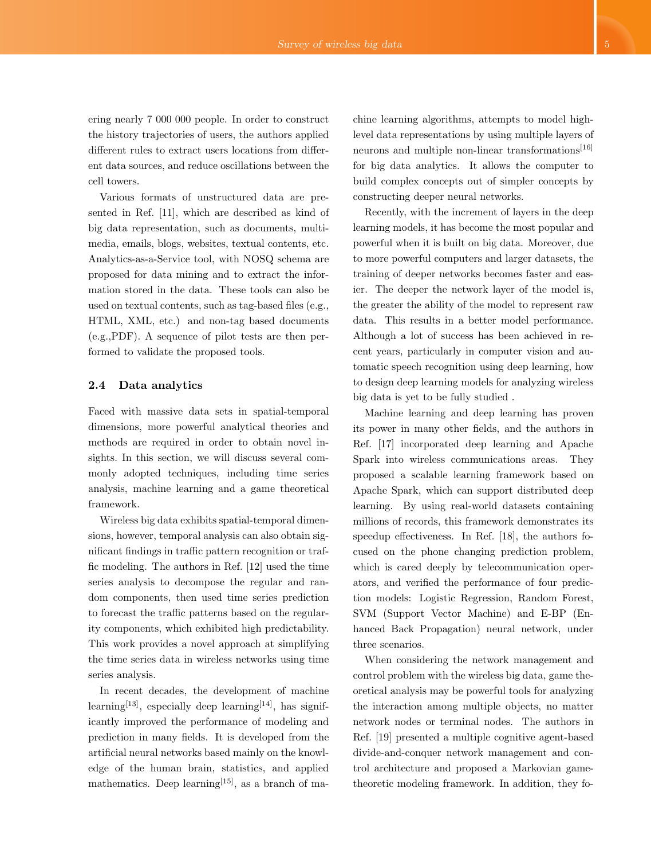ering nearly 7 000 000 people. In order to construct the history trajectories of users, the authors applied different rules to extract users locations from different data sources, and reduce oscillations between the cell towers.

Various formats of unstructured data are presented in Ref. [\[11\]](#page-15-10), which are described as kind of big data representation, such as documents, multimedia, emails, blogs, websites, textual contents, etc. Analytics-as-a-Service tool, with NOSQ schema are proposed for data mining and to extract the information stored in the data. These tools can also be used on textual contents, such as tag-based files (e.g., HTML, XML, etc.) and non-tag based documents (e.g.,PDF). A sequence of pilot tests are then performed to validate the proposed tools.

# 2.4 Data analytics

Faced with massive data sets in spatial-temporal dimensions, more powerful analytical theories and methods are required in order to obtain novel insights. In this section, we will discuss several commonly adopted techniques, including time series analysis, machine learning and a game theoretical framework.

Wireless big data exhibits spatial-temporal dimensions, however, temporal analysis can also obtain significant findings in traffic pattern recognition or traffic modeling. The authors in Ref. [\[12\]](#page-15-11) used the time series analysis to decompose the regular and random components, then used time series prediction to forecast the traffic patterns based on the regularity components, which exhibited high predictability. This work provides a novel approach at simplifying the time series data in wireless networks using time series analysis.

In recent decades, the development of machine learning<sup>[\[13\]](#page-15-12)</sup>, especially deep learning<sup>[\[14\]](#page-15-13)</sup>, has significantly improved the performance of modeling and prediction in many fields. It is developed from the artificial neural networks based mainly on the knowledge of the human brain, statistics, and applied mathematics. Deep learning<sup>[\[15\]](#page-15-14)</sup>, as a branch of machine learning algorithms, attempts to model highlevel data representations by using multiple layers of neurons and multiple non-linear transformations<sup>[\[16\]](#page-15-15)</sup> for big data analytics. It allows the computer to build complex concepts out of simpler concepts by constructing deeper neural networks.

Recently, with the increment of layers in the deep learning models, it has become the most popular and powerful when it is built on big data. Moreover, due to more powerful computers and larger datasets, the training of deeper networks becomes faster and easier. The deeper the network layer of the model is, the greater the ability of the model to represent raw data. This results in a better model performance. Although a lot of success has been achieved in recent years, particularly in computer vision and automatic speech recognition using deep learning, how to design deep learning models for analyzing wireless big data is yet to be fully studied .

Machine learning and deep learning has proven its power in many other fields, and the authors in Ref. [\[17\]](#page-15-16) incorporated deep learning and Apache Spark into wireless communications areas. They proposed a scalable learning framework based on Apache Spark, which can support distributed deep learning. By using real-world datasets containing millions of records, this framework demonstrates its speedup effectiveness. In Ref. [\[18\]](#page-15-17), the authors focused on the phone changing prediction problem, which is cared deeply by telecommunication operators, and verified the performance of four prediction models: Logistic Regression, Random Forest, SVM (Support Vector Machine) and E-BP (Enhanced Back Propagation) neural network, under three scenarios.

When considering the network management and control problem with the wireless big data, game theoretical analysis may be powerful tools for analyzing the interaction among multiple objects, no matter network nodes or terminal nodes. The authors in Ref. [\[19\]](#page-15-18) presented a multiple cognitive agent-based divide-and-conquer network management and control architecture and proposed a Markovian gametheoretic modeling framework. In addition, they fo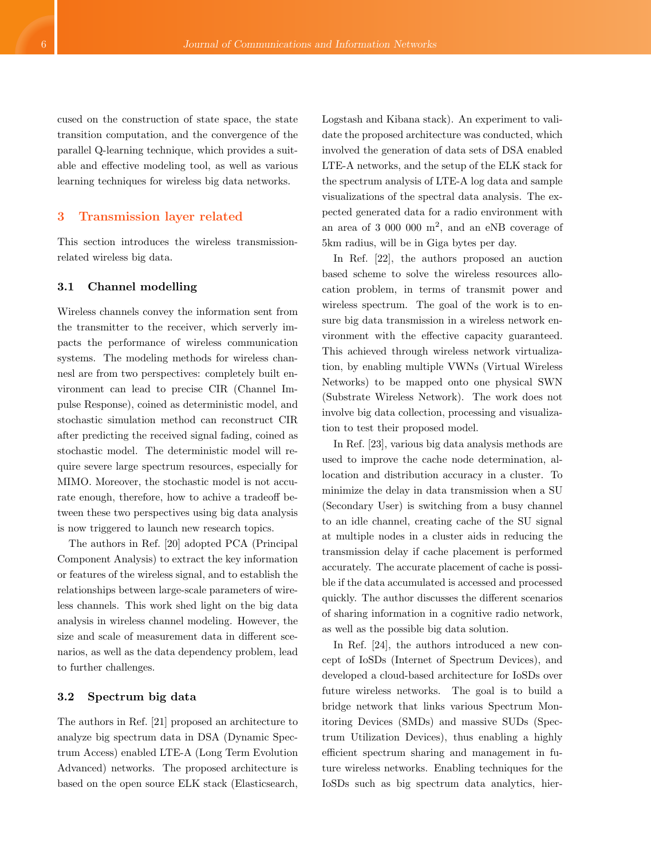cused on the construction of state space, the state transition computation, and the convergence of the parallel Q-learning technique, which provides a suitable and effective modeling tool, as well as various learning techniques for wireless big data networks.

## <span id="page-5-0"></span>3 Transmission layer related

This section introduces the wireless transmissionrelated wireless big data.

### 3.1 Channel modelling

Wireless channels convey the information sent from the transmitter to the receiver, which serverly impacts the performance of wireless communication systems. The modeling methods for wireless channesl are from two perspectives: completely built environment can lead to precise CIR (Channel Impulse Response), coined as deterministic model, and stochastic simulation method can reconstruct CIR after predicting the received signal fading, coined as stochastic model. The deterministic model will require severe large spectrum resources, especially for MIMO. Moreover, the stochastic model is not accurate enough, therefore, how to achive a tradeoff between these two perspectives using big data analysis is now triggered to launch new research topics.

The authors in Ref. [\[20\]](#page-15-19) adopted PCA (Principal Component Analysis) to extract the key information or features of the wireless signal, and to establish the relationships between large-scale parameters of wireless channels. This work shed light on the big data analysis in wireless channel modeling. However, the size and scale of measurement data in different scenarios, as well as the data dependency problem, lead to further challenges.

# 3.2 Spectrum big data

The authors in Ref. [\[21\]](#page-15-20) proposed an architecture to analyze big spectrum data in DSA (Dynamic Spectrum Access) enabled LTE-A (Long Term Evolution Advanced) networks. The proposed architecture is based on the open source ELK stack (Elasticsearch,

Logstash and Kibana stack). An experiment to validate the proposed architecture was conducted, which involved the generation of data sets of DSA enabled LTE-A networks, and the setup of the ELK stack for the spectrum analysis of LTE-A log data and sample visualizations of the spectral data analysis. The expected generated data for a radio environment with an area of 3 000 000  $m^2$ , and an eNB coverage of 5km radius, will be in Giga bytes per day.

In Ref. [\[22\]](#page-15-21), the authors proposed an auction based scheme to solve the wireless resources allocation problem, in terms of transmit power and wireless spectrum. The goal of the work is to ensure big data transmission in a wireless network environment with the effective capacity guaranteed. This achieved through wireless network virtualization, by enabling multiple VWNs (Virtual Wireless Networks) to be mapped onto one physical SWN (Substrate Wireless Network). The work does not involve big data collection, processing and visualization to test their proposed model.

In Ref. [\[23\]](#page-15-22), various big data analysis methods are used to improve the cache node determination, allocation and distribution accuracy in a cluster. To minimize the delay in data transmission when a SU (Secondary User) is switching from a busy channel to an idle channel, creating cache of the SU signal at multiple nodes in a cluster aids in reducing the transmission delay if cache placement is performed accurately. The accurate placement of cache is possible if the data accumulated is accessed and processed quickly. The author discusses the different scenarios of sharing information in a cognitive radio network, as well as the possible big data solution.

In Ref. [\[24\]](#page-15-23), the authors introduced a new concept of IoSDs (Internet of Spectrum Devices), and developed a cloud-based architecture for IoSDs over future wireless networks. The goal is to build a bridge network that links various Spectrum Monitoring Devices (SMDs) and massive SUDs (Spectrum Utilization Devices), thus enabling a highly efficient spectrum sharing and management in future wireless networks. Enabling techniques for the IoSDs such as big spectrum data analytics, hier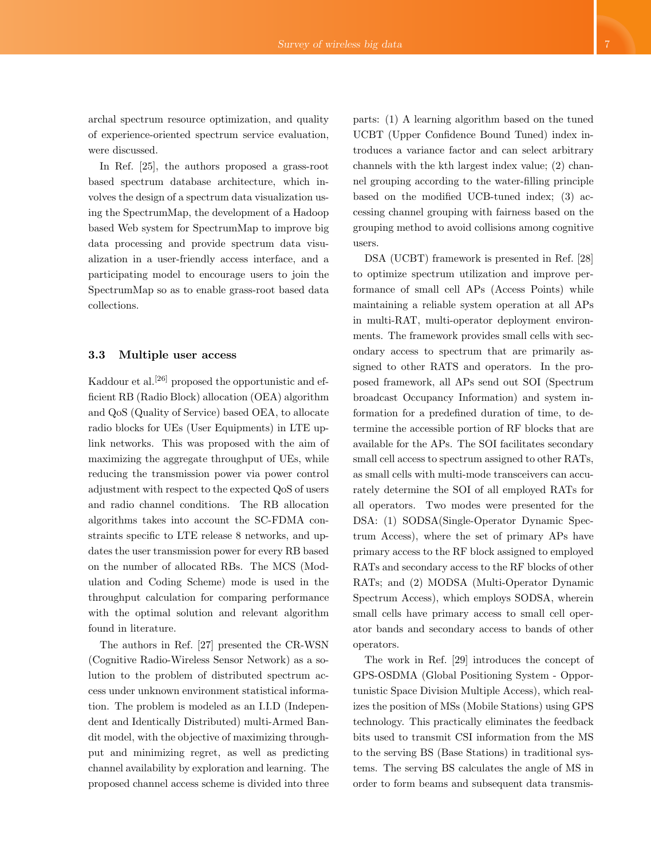archal spectrum resource optimization, and quality of experience-oriented spectrum service evaluation, were discussed.

In Ref. [\[25\]](#page-15-24), the authors proposed a grass-root based spectrum database architecture, which involves the design of a spectrum data visualization using the SpectrumMap, the development of a Hadoop based Web system for SpectrumMap to improve big data processing and provide spectrum data visualization in a user-friendly access interface, and a participating model to encourage users to join the SpectrumMap so as to enable grass-root based data collections.

#### 3.3 Multiple user access

Kaddour et al.[\[26\]](#page-15-25) proposed the opportunistic and efficient RB (Radio Block) allocation (OEA) algorithm and QoS (Quality of Service) based OEA, to allocate radio blocks for UEs (User Equipments) in LTE uplink networks. This was proposed with the aim of maximizing the aggregate throughput of UEs, while reducing the transmission power via power control adjustment with respect to the expected QoS of users and radio channel conditions. The RB allocation algorithms takes into account the SC-FDMA constraints specific to LTE release 8 networks, and updates the user transmission power for every RB based on the number of allocated RBs. The MCS (Modulation and Coding Scheme) mode is used in the throughput calculation for comparing performance with the optimal solution and relevant algorithm found in literature.

The authors in Ref. [\[27\]](#page-15-26) presented the CR-WSN (Cognitive Radio-Wireless Sensor Network) as a solution to the problem of distributed spectrum access under unknown environment statistical information. The problem is modeled as an I.I.D (Independent and Identically Distributed) multi-Armed Bandit model, with the objective of maximizing throughput and minimizing regret, as well as predicting channel availability by exploration and learning. The proposed channel access scheme is divided into three

parts: (1) A learning algorithm based on the tuned UCBT (Upper Confidence Bound Tuned) index introduces a variance factor and can select arbitrary channels with the kth largest index value; (2) channel grouping according to the water-filling principle based on the modified UCB-tuned index; (3) accessing channel grouping with fairness based on the grouping method to avoid collisions among cognitive users.

DSA (UCBT) framework is presented in Ref. [\[28\]](#page-15-27) to optimize spectrum utilization and improve performance of small cell APs (Access Points) while maintaining a reliable system operation at all APs in multi-RAT, multi-operator deployment environments. The framework provides small cells with secondary access to spectrum that are primarily assigned to other RATS and operators. In the proposed framework, all APs send out SOI (Spectrum broadcast Occupancy Information) and system information for a predefined duration of time, to determine the accessible portion of RF blocks that are available for the APs. The SOI facilitates secondary small cell access to spectrum assigned to other RATs, as small cells with multi-mode transceivers can accurately determine the SOI of all employed RATs for all operators. Two modes were presented for the DSA: (1) SODSA(Single-Operator Dynamic Spectrum Access), where the set of primary APs have primary access to the RF block assigned to employed RATs and secondary access to the RF blocks of other RATs; and (2) MODSA (Multi-Operator Dynamic Spectrum Access), which employs SODSA, wherein small cells have primary access to small cell operator bands and secondary access to bands of other operators.

The work in Ref. [\[29\]](#page-15-28) introduces the concept of GPS-OSDMA (Global Positioning System - Opportunistic Space Division Multiple Access), which realizes the position of MSs (Mobile Stations) using GPS technology. This practically eliminates the feedback bits used to transmit CSI information from the MS to the serving BS (Base Stations) in traditional systems. The serving BS calculates the angle of MS in order to form beams and subsequent data transmis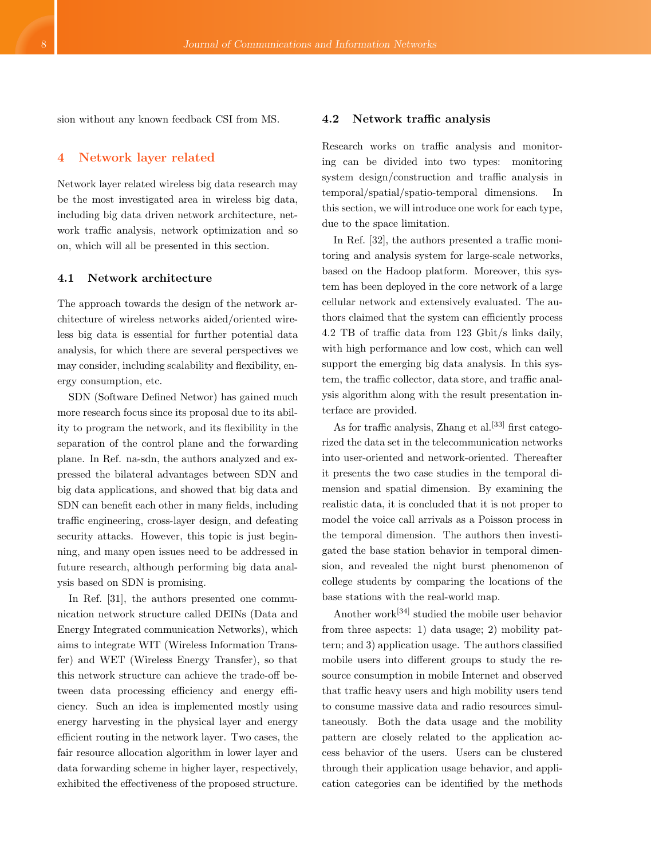sion without any known feedback CSI from MS.

# <span id="page-7-0"></span>4 Network layer related

Network layer related wireless big data research may be the most investigated area in wireless big data, including big data driven network architecture, network traffic analysis, network optimization and so on, which will all be presented in this section.

#### 4.1 Network architecture

The approach towards the design of the network architecture of wireless networks aided/oriented wireless big data is essential for further potential data analysis, for which there are several perspectives we may consider, including scalability and flexibility, energy consumption, etc.

SDN (Software Defined Networ) has gained much more research focus since its proposal due to its ability to program the network, and its flexibility in the separation of the control plane and the forwarding plane. In Ref. na-sdn, the authors analyzed and expressed the bilateral advantages between SDN and big data applications, and showed that big data and SDN can benefit each other in many fields, including traffic engineering, cross-layer design, and defeating security attacks. However, this topic is just beginning, and many open issues need to be addressed in future research, although performing big data analysis based on SDN is promising.

In Ref. [\[31\]](#page-15-29), the authors presented one communication network structure called DEINs (Data and Energy Integrated communication Networks), which aims to integrate WIT (Wireless Information Transfer) and WET (Wireless Energy Transfer), so that this network structure can achieve the trade-off between data processing efficiency and energy efficiency. Such an idea is implemented mostly using energy harvesting in the physical layer and energy efficient routing in the network layer. Two cases, the fair resource allocation algorithm in lower layer and data forwarding scheme in higher layer, respectively, exhibited the effectiveness of the proposed structure.

#### 4.2 Network traffic analysis

Research works on traffic analysis and monitoring can be divided into two types: monitoring system design/construction and traffic analysis in temporal/spatial/spatio-temporal dimensions. In this section, we will introduce one work for each type, due to the space limitation.

In Ref. [\[32\]](#page-16-0), the authors presented a traffic monitoring and analysis system for large-scale networks, based on the Hadoop platform. Moreover, this system has been deployed in the core network of a large cellular network and extensively evaluated. The authors claimed that the system can efficiently process 4.2 TB of traffic data from 123 Gbit/s links daily, with high performance and low cost, which can well support the emerging big data analysis. In this system, the traffic collector, data store, and traffic analysis algorithm along with the result presentation interface are provided.

As for traffic analysis, Zhang et al.<sup>[\[33\]](#page-16-1)</sup> first categorized the data set in the telecommunication networks into user-oriented and network-oriented. Thereafter it presents the two case studies in the temporal dimension and spatial dimension. By examining the realistic data, it is concluded that it is not proper to model the voice call arrivals as a Poisson process in the temporal dimension. The authors then investigated the base station behavior in temporal dimension, and revealed the night burst phenomenon of college students by comparing the locations of the base stations with the real-world map.

Another work[\[34\]](#page-16-2) studied the mobile user behavior from three aspects: 1) data usage; 2) mobility pattern; and 3) application usage. The authors classified mobile users into different groups to study the resource consumption in mobile Internet and observed that traffic heavy users and high mobility users tend to consume massive data and radio resources simultaneously. Both the data usage and the mobility pattern are closely related to the application access behavior of the users. Users can be clustered through their application usage behavior, and application categories can be identified by the methods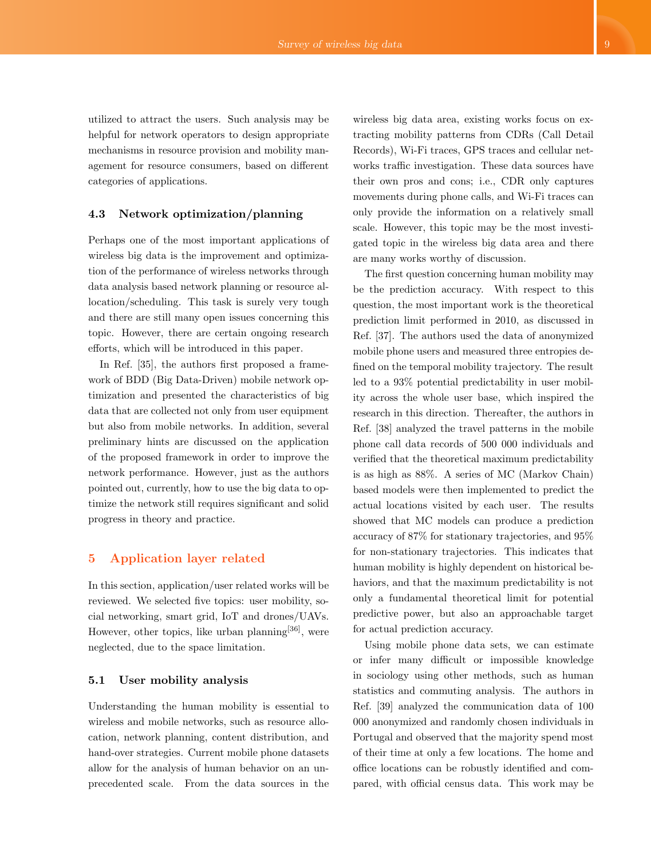utilized to attract the users. Such analysis may be helpful for network operators to design appropriate mechanisms in resource provision and mobility management for resource consumers, based on different categories of applications.

#### 4.3 Network optimization/planning

Perhaps one of the most important applications of wireless big data is the improvement and optimization of the performance of wireless networks through data analysis based network planning or resource allocation/scheduling. This task is surely very tough and there are still many open issues concerning this topic. However, there are certain ongoing research efforts, which will be introduced in this paper.

In Ref. [\[35\]](#page-16-3), the authors first proposed a framework of BDD (Big Data-Driven) mobile network optimization and presented the characteristics of big data that are collected not only from user equipment but also from mobile networks. In addition, several preliminary hints are discussed on the application of the proposed framework in order to improve the network performance. However, just as the authors pointed out, currently, how to use the big data to optimize the network still requires significant and solid progress in theory and practice.

## <span id="page-8-0"></span>5 Application layer related

In this section, application/user related works will be reviewed. We selected five topics: user mobility, social networking, smart grid, IoT and drones/UAVs. However, other topics, like urban planning<sup>[\[36\]](#page-16-4)</sup>, were neglected, due to the space limitation.

# 5.1 User mobility analysis

Understanding the human mobility is essential to wireless and mobile networks, such as resource allocation, network planning, content distribution, and hand-over strategies. Current mobile phone datasets allow for the analysis of human behavior on an unprecedented scale. From the data sources in the

wireless big data area, existing works focus on extracting mobility patterns from CDRs (Call Detail Records), Wi-Fi traces, GPS traces and cellular networks traffic investigation. These data sources have their own pros and cons; i.e., CDR only captures movements during phone calls, and Wi-Fi traces can only provide the information on a relatively small scale. However, this topic may be the most investigated topic in the wireless big data area and there are many works worthy of discussion.

The first question concerning human mobility may be the prediction accuracy. With respect to this question, the most important work is the theoretical prediction limit performed in 2010, as discussed in Ref. [\[37\]](#page-16-5). The authors used the data of anonymized mobile phone users and measured three entropies defined on the temporal mobility trajectory. The result led to a 93% potential predictability in user mobility across the whole user base, which inspired the research in this direction. Thereafter, the authors in Ref. [\[38\]](#page-16-6) analyzed the travel patterns in the mobile phone call data records of 500 000 individuals and verified that the theoretical maximum predictability is as high as 88%. A series of MC (Markov Chain) based models were then implemented to predict the actual locations visited by each user. The results showed that MC models can produce a prediction accuracy of 87% for stationary trajectories, and 95% for non-stationary trajectories. This indicates that human mobility is highly dependent on historical behaviors, and that the maximum predictability is not only a fundamental theoretical limit for potential predictive power, but also an approachable target for actual prediction accuracy.

Using mobile phone data sets, we can estimate or infer many difficult or impossible knowledge in sociology using other methods, such as human statistics and commuting analysis. The authors in Ref. [\[39\]](#page-16-7) analyzed the communication data of 100 000 anonymized and randomly chosen individuals in Portugal and observed that the majority spend most of their time at only a few locations. The home and office locations can be robustly identified and compared, with official census data. This work may be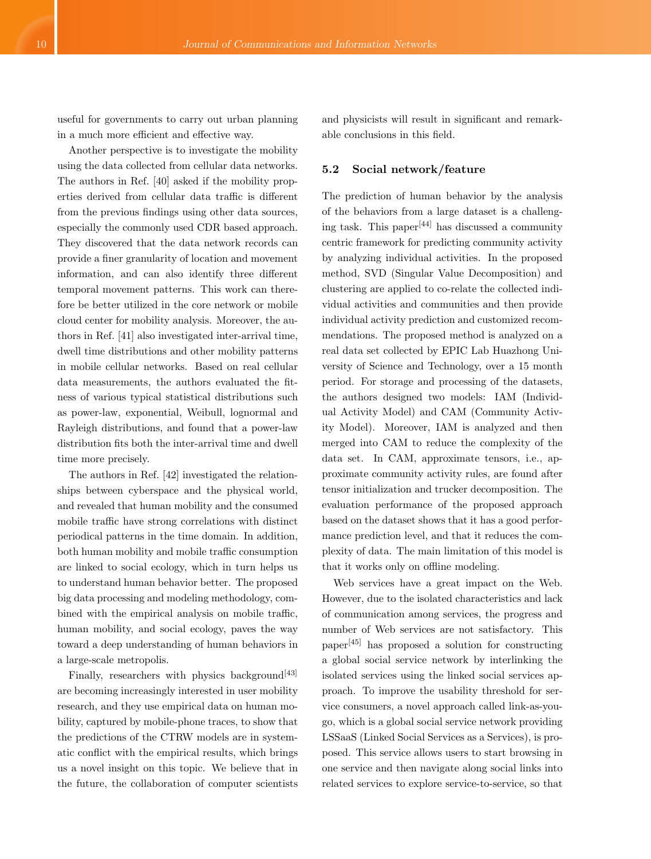useful for governments to carry out urban planning in a much more efficient and effective way.

Another perspective is to investigate the mobility using the data collected from cellular data networks. The authors in Ref. [\[40\]](#page-16-8) asked if the mobility properties derived from cellular data traffic is different from the previous findings using other data sources, especially the commonly used CDR based approach. They discovered that the data network records can provide a finer granularity of location and movement information, and can also identify three different temporal movement patterns. This work can therefore be better utilized in the core network or mobile cloud center for mobility analysis. Moreover, the authors in Ref. [\[41\]](#page-16-9) also investigated inter-arrival time, dwell time distributions and other mobility patterns in mobile cellular networks. Based on real cellular data measurements, the authors evaluated the fitness of various typical statistical distributions such as power-law, exponential, Weibull, lognormal and Rayleigh distributions, and found that a power-law distribution fits both the inter-arrival time and dwell time more precisely.

The authors in Ref. [\[42\]](#page-16-10) investigated the relationships between cyberspace and the physical world, and revealed that human mobility and the consumed mobile traffic have strong correlations with distinct periodical patterns in the time domain. In addition, both human mobility and mobile traffic consumption are linked to social ecology, which in turn helps us to understand human behavior better. The proposed big data processing and modeling methodology, combined with the empirical analysis on mobile traffic, human mobility, and social ecology, paves the way toward a deep understanding of human behaviors in a large-scale metropolis.

Finally, researchers with physics background<sup>[\[43\]](#page-16-11)</sup> are becoming increasingly interested in user mobility research, and they use empirical data on human mobility, captured by mobile-phone traces, to show that the predictions of the CTRW models are in systematic conflict with the empirical results, which brings us a novel insight on this topic. We believe that in the future, the collaboration of computer scientists and physicists will result in significant and remarkable conclusions in this field.

### 5.2 Social network/feature

The prediction of human behavior by the analysis of the behaviors from a large dataset is a challeng-ing task. This paper<sup>[\[44\]](#page-16-12)</sup> has discussed a community centric framework for predicting community activity by analyzing individual activities. In the proposed method, SVD (Singular Value Decomposition) and clustering are applied to co-relate the collected individual activities and communities and then provide individual activity prediction and customized recommendations. The proposed method is analyzed on a real data set collected by EPIC Lab Huazhong University of Science and Technology, over a 15 month period. For storage and processing of the datasets, the authors designed two models: IAM (Individual Activity Model) and CAM (Community Activity Model). Moreover, IAM is analyzed and then merged into CAM to reduce the complexity of the data set. In CAM, approximate tensors, i.e., approximate community activity rules, are found after tensor initialization and trucker decomposition. The evaluation performance of the proposed approach based on the dataset shows that it has a good performance prediction level, and that it reduces the complexity of data. The main limitation of this model is that it works only on offline modeling.

Web services have a great impact on the Web. However, due to the isolated characteristics and lack of communication among services, the progress and number of Web services are not satisfactory. This  $paper<sup>[45]</sup>$  $paper<sup>[45]</sup>$  $paper<sup>[45]</sup>$  has proposed a solution for constructing a global social service network by interlinking the isolated services using the linked social services approach. To improve the usability threshold for service consumers, a novel approach called link-as-yougo, which is a global social service network providing LSSaaS (Linked Social Services as a Services), is proposed. This service allows users to start browsing in one service and then navigate along social links into related services to explore service-to-service, so that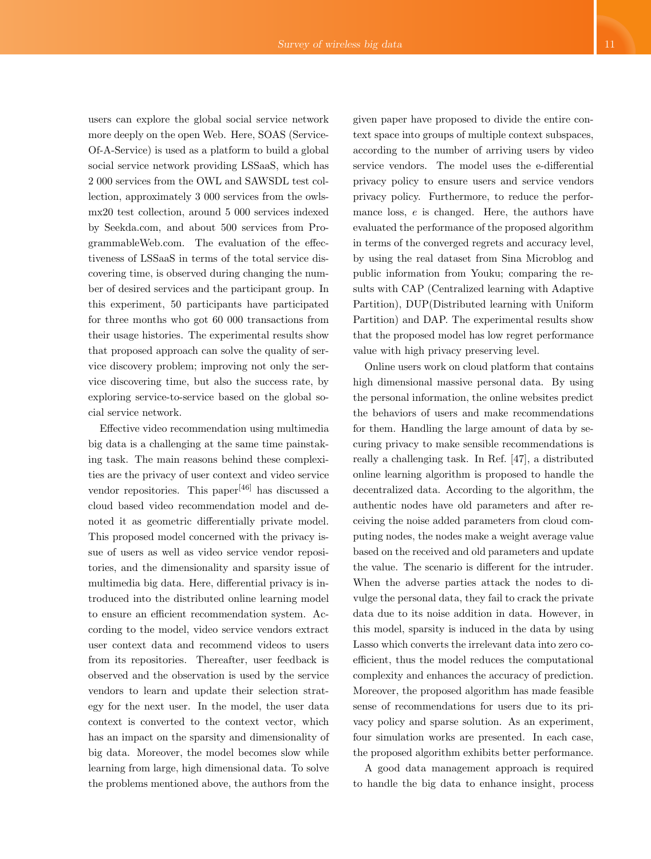users can explore the global social service network more deeply on the open Web. Here, SOAS (Service-Of-A-Service) is used as a platform to build a global social service network providing LSSaaS, which has 2 000 services from the OWL and SAWSDL test collection, approximately 3 000 services from the owlsmx20 test collection, around 5 000 services indexed by Seekda.com, and about 500 services from ProgrammableWeb.com. The evaluation of the effectiveness of LSSaaS in terms of the total service discovering time, is observed during changing the number of desired services and the participant group. In this experiment, 50 participants have participated for three months who got 60 000 transactions from their usage histories. The experimental results show that proposed approach can solve the quality of service discovery problem; improving not only the service discovering time, but also the success rate, by exploring service-to-service based on the global social service network.

Effective video recommendation using multimedia big data is a challenging at the same time painstaking task. The main reasons behind these complexities are the privacy of user context and video service vendor repositories. This paper $[46]$  has discussed a cloud based video recommendation model and denoted it as geometric differentially private model. This proposed model concerned with the privacy issue of users as well as video service vendor repositories, and the dimensionality and sparsity issue of multimedia big data. Here, differential privacy is introduced into the distributed online learning model to ensure an efficient recommendation system. According to the model, video service vendors extract user context data and recommend videos to users from its repositories. Thereafter, user feedback is observed and the observation is used by the service vendors to learn and update their selection strategy for the next user. In the model, the user data context is converted to the context vector, which has an impact on the sparsity and dimensionality of big data. Moreover, the model becomes slow while learning from large, high dimensional data. To solve the problems mentioned above, the authors from the given paper have proposed to divide the entire context space into groups of multiple context subspaces, according to the number of arriving users by video service vendors. The model uses the e-differential privacy policy to ensure users and service vendors privacy policy. Furthermore, to reduce the performance loss, e is changed. Here, the authors have evaluated the performance of the proposed algorithm in terms of the converged regrets and accuracy level, by using the real dataset from Sina Microblog and public information from Youku; comparing the results with CAP (Centralized learning with Adaptive Partition), DUP(Distributed learning with Uniform Partition) and DAP. The experimental results show that the proposed model has low regret performance value with high privacy preserving level.

Online users work on cloud platform that contains high dimensional massive personal data. By using the personal information, the online websites predict the behaviors of users and make recommendations for them. Handling the large amount of data by securing privacy to make sensible recommendations is really a challenging task. In Ref. [\[47\]](#page-16-15), a distributed online learning algorithm is proposed to handle the decentralized data. According to the algorithm, the authentic nodes have old parameters and after receiving the noise added parameters from cloud computing nodes, the nodes make a weight average value based on the received and old parameters and update the value. The scenario is different for the intruder. When the adverse parties attack the nodes to divulge the personal data, they fail to crack the private data due to its noise addition in data. However, in this model, sparsity is induced in the data by using Lasso which converts the irrelevant data into zero coefficient, thus the model reduces the computational complexity and enhances the accuracy of prediction. Moreover, the proposed algorithm has made feasible sense of recommendations for users due to its privacy policy and sparse solution. As an experiment, four simulation works are presented. In each case, the proposed algorithm exhibits better performance.

A good data management approach is required to handle the big data to enhance insight, process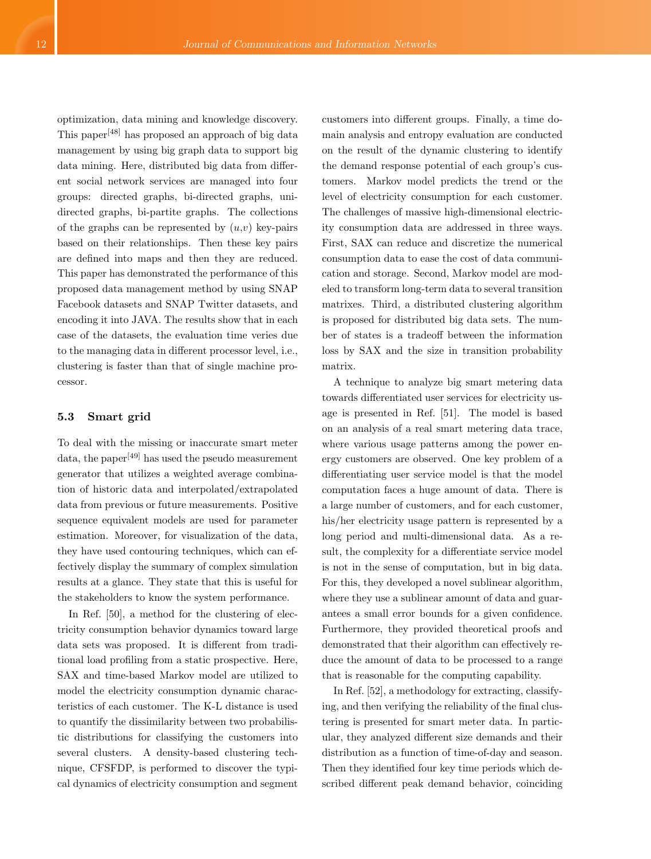optimization, data mining and knowledge discovery. This paper[\[48\]](#page-16-16) has proposed an approach of big data management by using big graph data to support big data mining. Here, distributed big data from different social network services are managed into four groups: directed graphs, bi-directed graphs, unidirected graphs, bi-partite graphs. The collections of the graphs can be represented by  $(u,v)$  key-pairs based on their relationships. Then these key pairs are defined into maps and then they are reduced. This paper has demonstrated the performance of this proposed data management method by using SNAP Facebook datasets and SNAP Twitter datasets, and encoding it into JAVA. The results show that in each case of the datasets, the evaluation time veries due to the managing data in different processor level, i.e., clustering is faster than that of single machine processor.

#### 5.3 Smart grid

To deal with the missing or inaccurate smart meter data, the paper[\[49\]](#page-16-17) has used the pseudo measurement generator that utilizes a weighted average combination of historic data and interpolated/extrapolated data from previous or future measurements. Positive sequence equivalent models are used for parameter estimation. Moreover, for visualization of the data, they have used contouring techniques, which can effectively display the summary of complex simulation results at a glance. They state that this is useful for the stakeholders to know the system performance.

In Ref. [\[50\]](#page-16-18), a method for the clustering of electricity consumption behavior dynamics toward large data sets was proposed. It is different from traditional load profiling from a static prospective. Here, SAX and time-based Markov model are utilized to model the electricity consumption dynamic characteristics of each customer. The K-L distance is used to quantify the dissimilarity between two probabilistic distributions for classifying the customers into several clusters. A density-based clustering technique, CFSFDP, is performed to discover the typical dynamics of electricity consumption and segment

customers into different groups. Finally, a time domain analysis and entropy evaluation are conducted on the result of the dynamic clustering to identify the demand response potential of each group's customers. Markov model predicts the trend or the level of electricity consumption for each customer. The challenges of massive high-dimensional electricity consumption data are addressed in three ways. First, SAX can reduce and discretize the numerical consumption data to ease the cost of data communication and storage. Second, Markov model are modeled to transform long-term data to several transition matrixes. Third, a distributed clustering algorithm is proposed for distributed big data sets. The number of states is a tradeoff between the information loss by SAX and the size in transition probability matrix.

A technique to analyze big smart metering data towards differentiated user services for electricity usage is presented in Ref. [\[51\]](#page-16-19). The model is based on an analysis of a real smart metering data trace, where various usage patterns among the power energy customers are observed. One key problem of a differentiating user service model is that the model computation faces a huge amount of data. There is a large number of customers, and for each customer, his/her electricity usage pattern is represented by a long period and multi-dimensional data. As a result, the complexity for a differentiate service model is not in the sense of computation, but in big data. For this, they developed a novel sublinear algorithm, where they use a sublinear amount of data and guarantees a small error bounds for a given confidence. Furthermore, they provided theoretical proofs and demonstrated that their algorithm can effectively reduce the amount of data to be processed to a range that is reasonable for the computing capability.

In Ref. [\[52\]](#page-16-20), a methodology for extracting, classifying, and then verifying the reliability of the final clustering is presented for smart meter data. In particular, they analyzed different size demands and their distribution as a function of time-of-day and season. Then they identified four key time periods which described different peak demand behavior, coinciding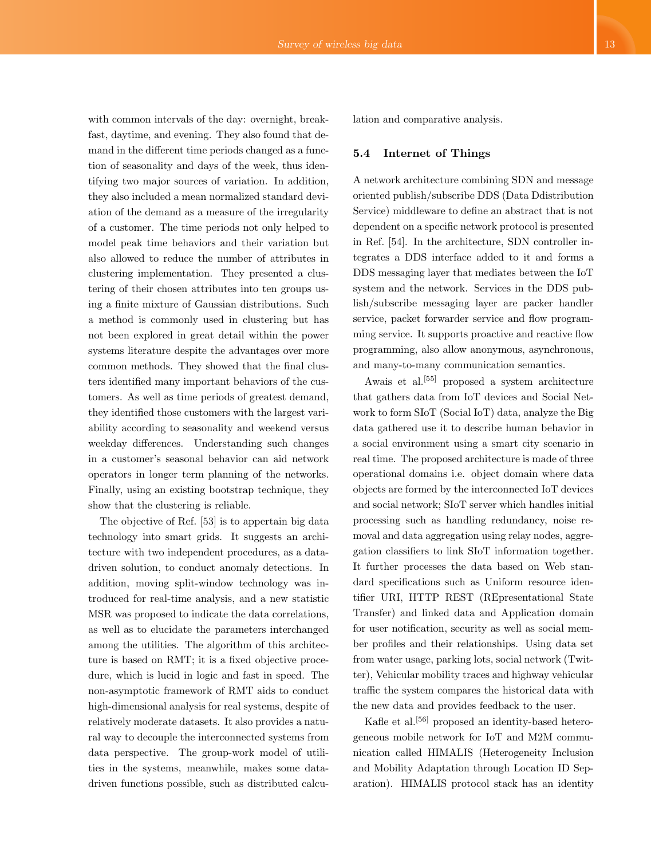with common intervals of the day: overnight, breakfast, daytime, and evening. They also found that demand in the different time periods changed as a function of seasonality and days of the week, thus identifying two major sources of variation. In addition, they also included a mean normalized standard deviation of the demand as a measure of the irregularity of a customer. The time periods not only helped to model peak time behaviors and their variation but also allowed to reduce the number of attributes in clustering implementation. They presented a clustering of their chosen attributes into ten groups using a finite mixture of Gaussian distributions. Such a method is commonly used in clustering but has not been explored in great detail within the power systems literature despite the advantages over more common methods. They showed that the final clusters identified many important behaviors of the customers. As well as time periods of greatest demand, they identified those customers with the largest variability according to seasonality and weekend versus weekday differences. Understanding such changes in a customer's seasonal behavior can aid network operators in longer term planning of the networks. Finally, using an existing bootstrap technique, they show that the clustering is reliable.

The objective of Ref. [\[53\]](#page-16-21) is to appertain big data technology into smart grids. It suggests an architecture with two independent procedures, as a datadriven solution, to conduct anomaly detections. In addition, moving split-window technology was introduced for real-time analysis, and a new statistic MSR was proposed to indicate the data correlations, as well as to elucidate the parameters interchanged among the utilities. The algorithm of this architecture is based on RMT; it is a fixed objective procedure, which is lucid in logic and fast in speed. The non-asymptotic framework of RMT aids to conduct high-dimensional analysis for real systems, despite of relatively moderate datasets. It also provides a natural way to decouple the interconnected systems from data perspective. The group-work model of utilities in the systems, meanwhile, makes some datadriven functions possible, such as distributed calculation and comparative analysis.

## 5.4 Internet of Things

A network architecture combining SDN and message oriented publish/subscribe DDS (Data Ddistribution Service) middleware to define an abstract that is not dependent on a specific network protocol is presented in Ref. [\[54\]](#page-16-22). In the architecture, SDN controller integrates a DDS interface added to it and forms a DDS messaging layer that mediates between the IoT system and the network. Services in the DDS publish/subscribe messaging layer are packer handler service, packet forwarder service and flow programming service. It supports proactive and reactive flow programming, also allow anonymous, asynchronous, and many-to-many communication semantics.

Awais et al.<sup>[\[55\]](#page-16-23)</sup> proposed a system architecture that gathers data from IoT devices and Social Network to form SIoT (Social IoT) data, analyze the Big data gathered use it to describe human behavior in a social environment using a smart city scenario in real time. The proposed architecture is made of three operational domains i.e. object domain where data objects are formed by the interconnected IoT devices and social network; SIoT server which handles initial processing such as handling redundancy, noise removal and data aggregation using relay nodes, aggregation classifiers to link SIoT information together. It further processes the data based on Web standard specifications such as Uniform resource identifier URI, HTTP REST (REpresentational State Transfer) and linked data and Application domain for user notification, security as well as social member profiles and their relationships. Using data set from water usage, parking lots, social network (Twitter), Vehicular mobility traces and highway vehicular traffic the system compares the historical data with the new data and provides feedback to the user.

Kafle et al.[\[56\]](#page-16-24) proposed an identity-based heterogeneous mobile network for IoT and M2M communication called HIMALIS (Heterogeneity Inclusion and Mobility Adaptation through Location ID Separation). HIMALIS protocol stack has an identity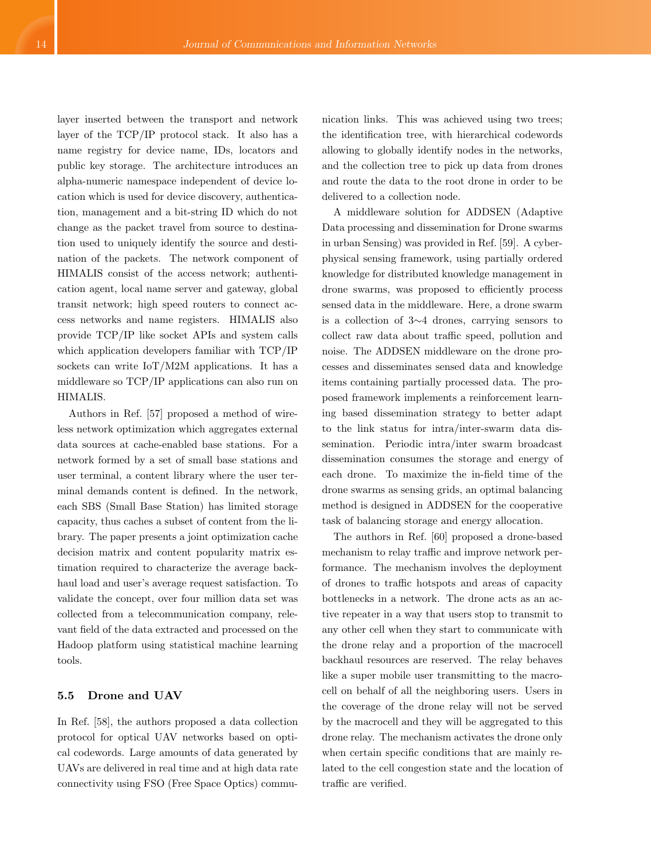layer inserted between the transport and network layer of the TCP/IP protocol stack. It also has a name registry for device name, IDs, locators and public key storage. The architecture introduces an alpha-numeric namespace independent of device location which is used for device discovery, authentication, management and a bit-string ID which do not change as the packet travel from source to destination used to uniquely identify the source and destination of the packets. The network component of HIMALIS consist of the access network; authentication agent, local name server and gateway, global transit network; high speed routers to connect access networks and name registers. HIMALIS also provide TCP/IP like socket APIs and system calls which application developers familiar with TCP/IP sockets can write IoT/M2M applications. It has a middleware so TCP/IP applications can also run on HIMALIS.

Authors in Ref. [\[57\]](#page-16-25) proposed a method of wireless network optimization which aggregates external data sources at cache-enabled base stations. For a network formed by a set of small base stations and user terminal, a content library where the user terminal demands content is defined. In the network, each SBS (Small Base Station) has limited storage capacity, thus caches a subset of content from the library. The paper presents a joint optimization cache decision matrix and content popularity matrix estimation required to characterize the average backhaul load and user's average request satisfaction. To validate the concept, over four million data set was collected from a telecommunication company, relevant field of the data extracted and processed on the Hadoop platform using statistical machine learning tools.

## 5.5 Drone and UAV

In Ref. [\[58\]](#page-16-26), the authors proposed a data collection protocol for optical UAV networks based on optical codewords. Large amounts of data generated by UAVs are delivered in real time and at high data rate connectivity using FSO (Free Space Optics) communication links. This was achieved using two trees; the identification tree, with hierarchical codewords allowing to globally identify nodes in the networks, and the collection tree to pick up data from drones and route the data to the root drone in order to be delivered to a collection node.

A middleware solution for ADDSEN (Adaptive Data processing and dissemination for Drone swarms in urban Sensing) was provided in Ref. [\[59\]](#page-16-27). A cyberphysical sensing framework, using partially ordered knowledge for distributed knowledge management in drone swarms, was proposed to efficiently process sensed data in the middleware. Here, a drone swarm is a collection of 3∼4 drones, carrying sensors to collect raw data about traffic speed, pollution and noise. The ADDSEN middleware on the drone processes and disseminates sensed data and knowledge items containing partially processed data. The proposed framework implements a reinforcement learning based dissemination strategy to better adapt to the link status for intra/inter-swarm data dissemination. Periodic intra/inter swarm broadcast dissemination consumes the storage and energy of each drone. To maximize the in-field time of the drone swarms as sensing grids, an optimal balancing method is designed in ADDSEN for the cooperative task of balancing storage and energy allocation.

The authors in Ref. [\[60\]](#page-16-28) proposed a drone-based mechanism to relay traffic and improve network performance. The mechanism involves the deployment of drones to traffic hotspots and areas of capacity bottlenecks in a network. The drone acts as an active repeater in a way that users stop to transmit to any other cell when they start to communicate with the drone relay and a proportion of the macrocell backhaul resources are reserved. The relay behaves like a super mobile user transmitting to the macrocell on behalf of all the neighboring users. Users in the coverage of the drone relay will not be served by the macrocell and they will be aggregated to this drone relay. The mechanism activates the drone only when certain specific conditions that are mainly related to the cell congestion state and the location of traffic are verified.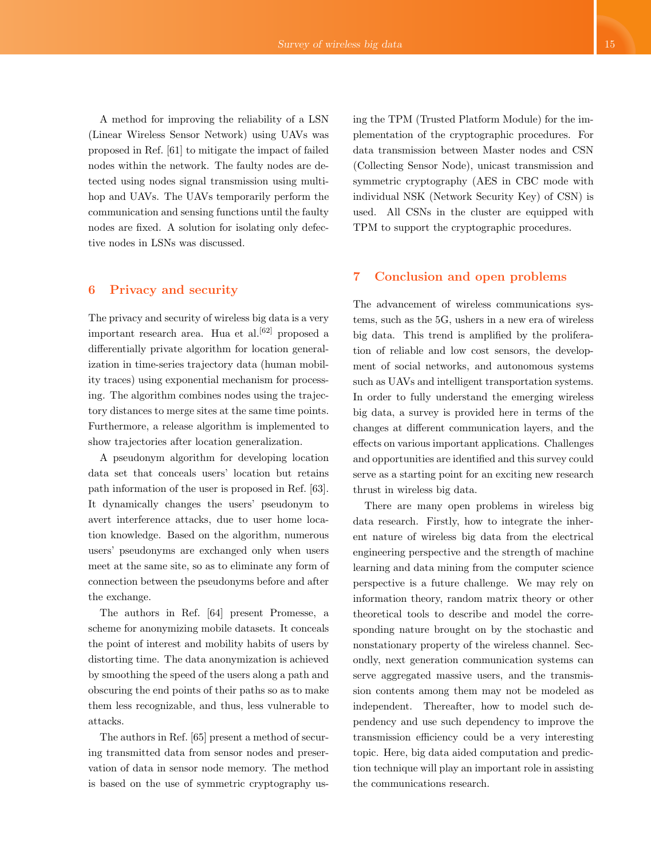A method for improving the reliability of a LSN (Linear Wireless Sensor Network) using UAVs was proposed in Ref. [\[61\]](#page-16-29) to mitigate the impact of failed nodes within the network. The faulty nodes are detected using nodes signal transmission using multihop and UAVs. The UAVs temporarily perform the communication and sensing functions until the faulty nodes are fixed. A solution for isolating only defective nodes in LSNs was discussed.

# <span id="page-14-0"></span>6 Privacy and security

The privacy and security of wireless big data is a very important research area. Hua et al.<sup>[\[62\]](#page-17-1)</sup> proposed a differentially private algorithm for location generalization in time-series trajectory data (human mobility traces) using exponential mechanism for processing. The algorithm combines nodes using the trajectory distances to merge sites at the same time points. Furthermore, a release algorithm is implemented to show trajectories after location generalization.

A pseudonym algorithm for developing location data set that conceals users' location but retains path information of the user is proposed in Ref. [\[63\]](#page-17-2). It dynamically changes the users' pseudonym to avert interference attacks, due to user home location knowledge. Based on the algorithm, numerous users' pseudonyms are exchanged only when users meet at the same site, so as to eliminate any form of connection between the pseudonyms before and after the exchange.

The authors in Ref. [\[64\]](#page-17-3) present Promesse, a scheme for anonymizing mobile datasets. It conceals the point of interest and mobility habits of users by distorting time. The data anonymization is achieved by smoothing the speed of the users along a path and obscuring the end points of their paths so as to make them less recognizable, and thus, less vulnerable to attacks.

The authors in Ref. [\[65\]](#page-17-4) present a method of securing transmitted data from sensor nodes and preservation of data in sensor node memory. The method is based on the use of symmetric cryptography using the TPM (Trusted Platform Module) for the implementation of the cryptographic procedures. For data transmission between Master nodes and CSN (Collecting Sensor Node), unicast transmission and symmetric cryptography (AES in CBC mode with individual NSK (Network Security Key) of CSN) is used. All CSNs in the cluster are equipped with TPM to support the cryptographic procedures.

# <span id="page-14-1"></span>7 Conclusion and open problems

The advancement of wireless communications systems, such as the 5G, ushers in a new era of wireless big data. This trend is amplified by the proliferation of reliable and low cost sensors, the development of social networks, and autonomous systems such as UAVs and intelligent transportation systems. In order to fully understand the emerging wireless big data, a survey is provided here in terms of the changes at different communication layers, and the effects on various important applications. Challenges and opportunities are identified and this survey could serve as a starting point for an exciting new research thrust in wireless big data.

There are many open problems in wireless big data research. Firstly, how to integrate the inherent nature of wireless big data from the electrical engineering perspective and the strength of machine learning and data mining from the computer science perspective is a future challenge. We may rely on information theory, random matrix theory or other theoretical tools to describe and model the corresponding nature brought on by the stochastic and nonstationary property of the wireless channel. Secondly, next generation communication systems can serve aggregated massive users, and the transmission contents among them may not be modeled as independent. Thereafter, how to model such dependency and use such dependency to improve the transmission efficiency could be a very interesting topic. Here, big data aided computation and prediction technique will play an important role in assisting the communications research.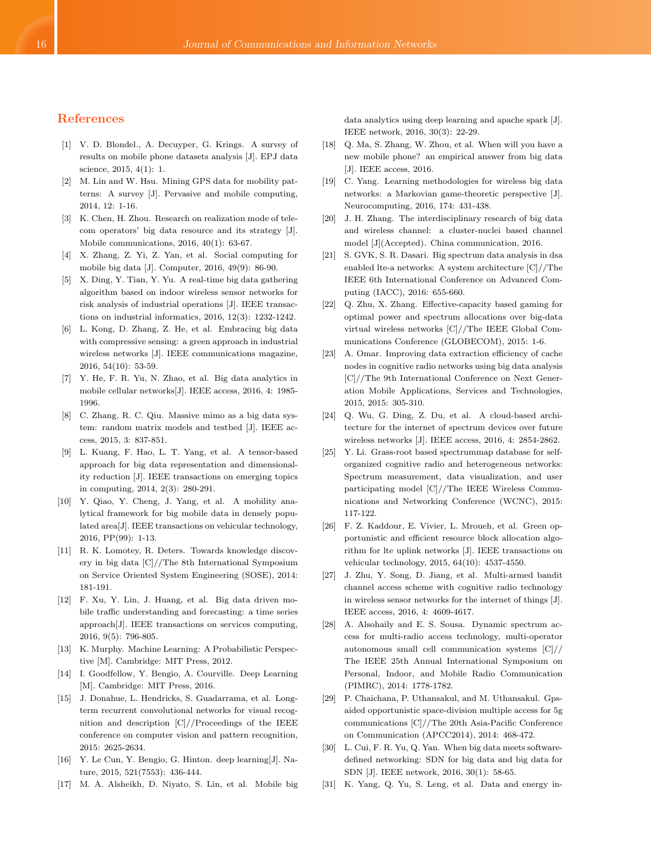# References

- <span id="page-15-0"></span>[1] V. D. Blondel., A. Decuyper, G. Krings. A survey of results on mobile phone datasets analysis [J]. EPJ data science, 2015, 4(1): 1.
- <span id="page-15-1"></span>[2] M. Lin and W. Hsu. Mining GPS data for mobility patterns: A survey [J]. Pervasive and mobile computing, 2014, 12: 1-16.
- <span id="page-15-2"></span>[3] K. Chen, H. Zhou. Research on realization mode of telecom operators' big data resource and its strategy [J]. Mobile communications, 2016, 40(1): 63-67.
- <span id="page-15-3"></span>[4] X. Zhang, Z. Yi, Z. Yan, et al. Social computing for mobile big data [J]. Computer, 2016, 49(9): 86-90.
- <span id="page-15-4"></span>[5] X. Ding, Y. Tian, Y. Yu. A real-time big data gathering algorithm based on indoor wireless sensor networks for risk analysis of industrial operations [J]. IEEE transactions on industrial informatics, 2016, 12(3): 1232-1242.
- <span id="page-15-5"></span>[6] L. Kong, D. Zhang, Z. He, et al. Embracing big data with compressive sensing: a green approach in industrial wireless networks [J]. IEEE communications magazine, 2016, 54(10): 53-59.
- <span id="page-15-6"></span>[7] Y. He, F. R. Yu, N. Zhao, et al. Big data analytics in mobile cellular networks[J]. IEEE access, 2016, 4: 1985- 1996.
- <span id="page-15-7"></span>[8] C. Zhang, R. C. Qiu. Massive mimo as a big data system: random matrix models and testbed [J]. IEEE access, 2015, 3: 837-851.
- <span id="page-15-8"></span>[9] L. Kuang, F. Hao, L. T. Yang, et al. A tensor-based approach for big data representation and dimensionality reduction [J]. IEEE transactions on emerging topics in computing, 2014, 2(3): 280-291.
- <span id="page-15-9"></span>[10] Y. Qiao, Y. Cheng, J. Yang, et al. A mobility analytical framework for big mobile data in densely populated area[J]. IEEE transactions on vehicular technology, 2016, PP(99): 1-13.
- <span id="page-15-10"></span>[11] R. K. Lomotey, R. Deters. Towards knowledge discovery in big data [C]//The 8th International Symposium on Service Oriented System Engineering (SOSE), 2014: 181-191.
- <span id="page-15-11"></span>[12] F. Xu, Y. Lin, J. Huang, et al. Big data driven mobile traffic understanding and forecasting: a time series approach[J]. IEEE transactions on services computing, 2016, 9(5): 796-805.
- <span id="page-15-12"></span>[13] K. Murphy. Machine Learning: A Probabilistic Perspective [M]. Cambridge: MIT Press, 2012.
- <span id="page-15-13"></span>[14] I. Goodfellow, Y. Bengio, A. Courville. Deep Learning [M]. Cambridge: MIT Press, 2016.
- <span id="page-15-14"></span>[15] J. Donahue, L. Hendricks, S. Guadarrama, et al. Longterm recurrent convolutional networks for visual recognition and description [C]//Proceedings of the IEEE conference on computer vision and pattern recognition, 2015: 2625-2634.
- <span id="page-15-15"></span>[16] Y. Le Cun, Y. Bengio, G. Hinton. deep learning[J]. Nature, 2015, 521(7553): 436-444.
- <span id="page-15-16"></span>[17] M. A. Alsheikh, D. Niyato, S. Lin, et al. Mobile big

data analytics using deep learning and apache spark [J]. IEEE network, 2016, 30(3): 22-29.

- <span id="page-15-17"></span>[18] Q. Ma, S. Zhang, W. Zhou, et al. When will you have a new mobile phone? an empirical answer from big data [J]. IEEE access, 2016.
- <span id="page-15-18"></span>[19] C. Yang. Learning methodologies for wireless big data networks: a Markovian game-theoretic perspective [J]. Neurocomputing, 2016, 174: 431-438.
- <span id="page-15-19"></span>[20] J. H. Zhang. The interdisciplinary research of big data and wireless channel: a cluster-nuclei based channel model [J](Accepted). China communication, 2016.
- <span id="page-15-20"></span>[21] S. GVK, S. R. Dasari. Big spectrum data analysis in dsa enabled lte-a networks: A system architecture [C]//The IEEE 6th International Conference on Advanced Computing (IACC), 2016: 655-660.
- <span id="page-15-21"></span>[22] Q. Zhu, X. Zhang. Effective-capacity based gaming for optimal power and spectrum allocations over big-data virtual wireless networks [C]//The IEEE Global Communications Conference (GLOBECOM), 2015: 1-6.
- <span id="page-15-22"></span>[23] A. Omar. Improving data extraction efficiency of cache nodes in cognitive radio networks using big data analysis [C]//The 9th International Conference on Next Generation Mobile Applications, Services and Technologies, 2015, 2015: 305-310.
- <span id="page-15-23"></span>[24] Q. Wu, G. Ding, Z. Du, et al. A cloud-based architecture for the internet of spectrum devices over future wireless networks [J]. IEEE access, 2016, 4: 2854-2862.
- <span id="page-15-24"></span>[25] Y. Li. Grass-root based spectrummap database for selforganized cognitive radio and heterogeneous networks: Spectrum measurement, data visualization, and user participating model [C]//The IEEE Wireless Communications and Networking Conference (WCNC), 2015: 117-122.
- <span id="page-15-25"></span>[26] F. Z. Kaddour, E. Vivier, L. Mroueh, et al. Green opportunistic and efficient resource block allocation algorithm for lte uplink networks [J]. IEEE transactions on vehicular technology, 2015, 64(10): 4537-4550.
- <span id="page-15-26"></span>[27] J. Zhu, Y. Song, D. Jiang, et al. Multi-armed bandit channel access scheme with cognitive radio technology in wireless sensor networks for the internet of things [J]. IEEE access, 2016, 4: 4609-4617.
- <span id="page-15-27"></span>[28] A. Alsohaily and E. S. Sousa. Dynamic spectrum access for multi-radio access technology, multi-operator autonomous small cell communication systems [C]// The IEEE 25th Annual International Symposium on Personal, Indoor, and Mobile Radio Communication (PIMRC), 2014: 1778-1782.
- <span id="page-15-28"></span>[29] P. Chaichana, P. Uthansakul, and M. Uthansakul. Gpsaided opportunistic space-division multiple access for 5g communications [C]//The 20th Asia-Pacific Conference on Communication (APCC2014), 2014: 468-472.
- [30] L. Cui, F. R. Yu, Q. Yan. When big data meets softwaredefined networking: SDN for big data and big data for SDN [J]. IEEE network, 2016, 30(1): 58-65.
- <span id="page-15-29"></span>[31] K. Yang, Q. Yu, S. Leng, et al. Data and energy in-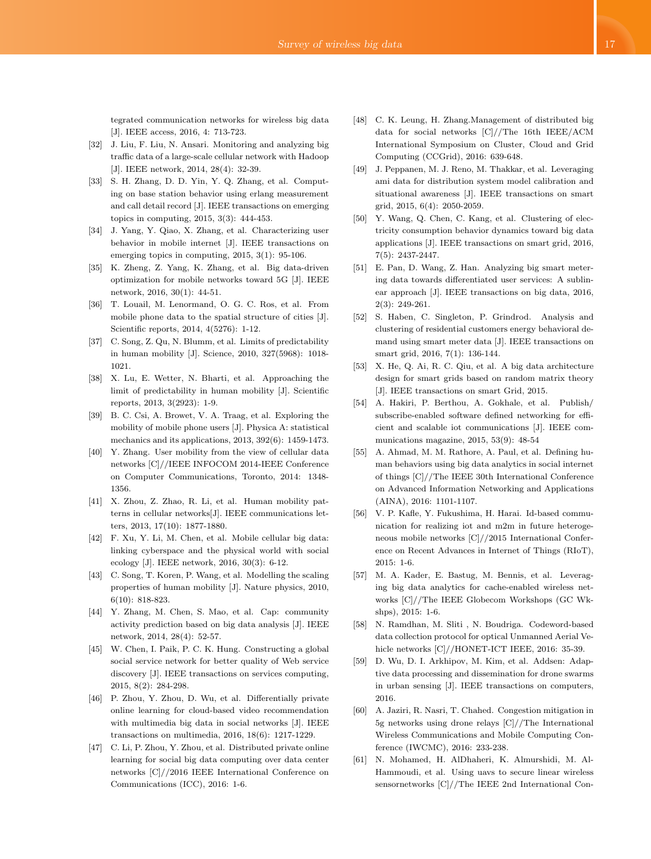tegrated communication networks for wireless big data [J]. IEEE access, 2016, 4: 713-723.

- <span id="page-16-0"></span>[32] J. Liu, F. Liu, N. Ansari. Monitoring and analyzing big traffic data of a large-scale cellular network with Hadoop [J]. IEEE network, 2014, 28(4): 32-39.
- <span id="page-16-1"></span>[33] S. H. Zhang, D. D. Yin, Y. Q. Zhang, et al. Computing on base station behavior using erlang measurement and call detail record [J]. IEEE transactions on emerging topics in computing, 2015, 3(3): 444-453.
- <span id="page-16-2"></span>[34] J. Yang, Y. Qiao, X. Zhang, et al. Characterizing user behavior in mobile internet [J]. IEEE transactions on emerging topics in computing, 2015, 3(1): 95-106.
- <span id="page-16-3"></span>[35] K. Zheng, Z. Yang, K. Zhang, et al. Big data-driven optimization for mobile networks toward 5G [J]. IEEE network, 2016, 30(1): 44-51.
- <span id="page-16-4"></span>[36] T. Louail, M. Lenormand, O. G. C. Ros, et al. From mobile phone data to the spatial structure of cities [J]. Scientific reports, 2014, 4(5276): 1-12.
- <span id="page-16-5"></span>[37] C. Song, Z. Qu, N. Blumm, et al. Limits of predictability in human mobility [J]. Science, 2010, 327(5968): 1018- 1021.
- <span id="page-16-6"></span>[38] X. Lu, E. Wetter, N. Bharti, et al. Approaching the limit of predictability in human mobility [J]. Scientific reports, 2013, 3(2923): 1-9.
- <span id="page-16-7"></span>[39] B. C. Csi, A. Browet, V. A. Traag, et al. Exploring the mobility of mobile phone users [J]. Physica A: statistical mechanics and its applications, 2013, 392(6): 1459-1473.
- <span id="page-16-8"></span>[40] Y. Zhang. User mobility from the view of cellular data networks [C]//IEEE INFOCOM 2014-IEEE Conference on Computer Communications, Toronto, 2014: 1348- 1356.
- <span id="page-16-9"></span>[41] X. Zhou, Z. Zhao, R. Li, et al. Human mobility patterns in cellular networks[J]. IEEE communications letters, 2013, 17(10): 1877-1880.
- <span id="page-16-10"></span>[42] F. Xu, Y. Li, M. Chen, et al. Mobile cellular big data: linking cyberspace and the physical world with social ecology [J]. IEEE network, 2016, 30(3): 6-12.
- <span id="page-16-11"></span>[43] C. Song, T. Koren, P. Wang, et al. Modelling the scaling properties of human mobility [J]. Nature physics, 2010, 6(10): 818-823.
- <span id="page-16-12"></span>[44] Y. Zhang, M. Chen, S. Mao, et al. Cap: community activity prediction based on big data analysis [J]. IEEE network, 2014, 28(4): 52-57.
- <span id="page-16-13"></span>[45] W. Chen, I. Paik, P. C. K. Hung. Constructing a global social service network for better quality of Web service discovery [J]. IEEE transactions on services computing, 2015, 8(2): 284-298.
- <span id="page-16-14"></span>[46] P. Zhou, Y. Zhou, D. Wu, et al. Differentially private online learning for cloud-based video recommendation with multimedia big data in social networks [J]. IEEE transactions on multimedia, 2016, 18(6): 1217-1229.
- <span id="page-16-15"></span>[47] C. Li, P. Zhou, Y. Zhou, et al. Distributed private online learning for social big data computing over data center networks [C]//2016 IEEE International Conference on Communications (ICC), 2016: 1-6.
- <span id="page-16-16"></span>[48] C. K. Leung, H. Zhang.Management of distributed big data for social networks [C]//The 16th IEEE/ACM International Symposium on Cluster, Cloud and Grid Computing (CCGrid), 2016: 639-648.
- <span id="page-16-17"></span>[49] J. Peppanen, M. J. Reno, M. Thakkar, et al. Leveraging ami data for distribution system model calibration and situational awareness [J]. IEEE transactions on smart grid, 2015, 6(4): 2050-2059.
- <span id="page-16-18"></span>[50] Y. Wang, Q. Chen, C. Kang, et al. Clustering of electricity consumption behavior dynamics toward big data applications [J]. IEEE transactions on smart grid, 2016, 7(5): 2437-2447.
- <span id="page-16-19"></span>[51] E. Pan, D. Wang, Z. Han. Analyzing big smart metering data towards differentiated user services: A sublinear approach [J]. IEEE transactions on big data, 2016, 2(3): 249-261.
- <span id="page-16-20"></span>[52] S. Haben, C. Singleton, P. Grindrod. Analysis and clustering of residential customers energy behavioral demand using smart meter data [J]. IEEE transactions on smart grid, 2016, 7(1): 136-144.
- <span id="page-16-21"></span>[53] X. He, Q. Ai, R. C. Qiu, et al. A big data architecture design for smart grids based on random matrix theory [J]. IEEE transactions on smart Grid, 2015.
- <span id="page-16-22"></span>[54] A. Hakiri, P. Berthou, A. Gokhale, et al. Publish/ subscribe-enabled software defined networking for efficient and scalable iot communications [J]. IEEE communications magazine, 2015, 53(9): 48-54
- <span id="page-16-23"></span>[55] A. Ahmad, M. M. Rathore, A. Paul, et al. Defining human behaviors using big data analytics in social internet of things [C]//The IEEE 30th International Conference on Advanced Information Networking and Applications (AINA), 2016: 1101-1107.
- <span id="page-16-24"></span>[56] V. P. Kafle, Y. Fukushima, H. Harai. Id-based communication for realizing iot and m2m in future heterogeneous mobile networks [C]//2015 International Conference on Recent Advances in Internet of Things (RIoT), 2015: 1-6.
- <span id="page-16-25"></span>[57] M. A. Kader, E. Bastug, M. Bennis, et al. Leveraging big data analytics for cache-enabled wireless networks [C]//The IEEE Globecom Workshops (GC Wkshps), 2015: 1-6.
- <span id="page-16-26"></span>[58] N. Ramdhan, M. Sliti , N. Boudriga. Codeword-based data collection protocol for optical Unmanned Aerial Vehicle networks  $\text{[C]/}$ /HONET-ICT IEEE, 2016: 35-39.
- <span id="page-16-27"></span>[59] D. Wu, D. I. Arkhipov, M. Kim, et al. Addsen: Adaptive data processing and dissemination for drone swarms in urban sensing [J]. IEEE transactions on computers, 2016.
- <span id="page-16-28"></span>[60] A. Jaziri, R. Nasri, T. Chahed. Congestion mitigation in 5g networks using drone relays [C]//The International Wireless Communications and Mobile Computing Conference (IWCMC), 2016: 233-238.
- <span id="page-16-29"></span>[61] N. Mohamed, H. AlDhaheri, K. Almurshidi, M. Al-Hammoudi, et al. Using uavs to secure linear wireless sensornetworks [C]//The IEEE 2nd International Con-